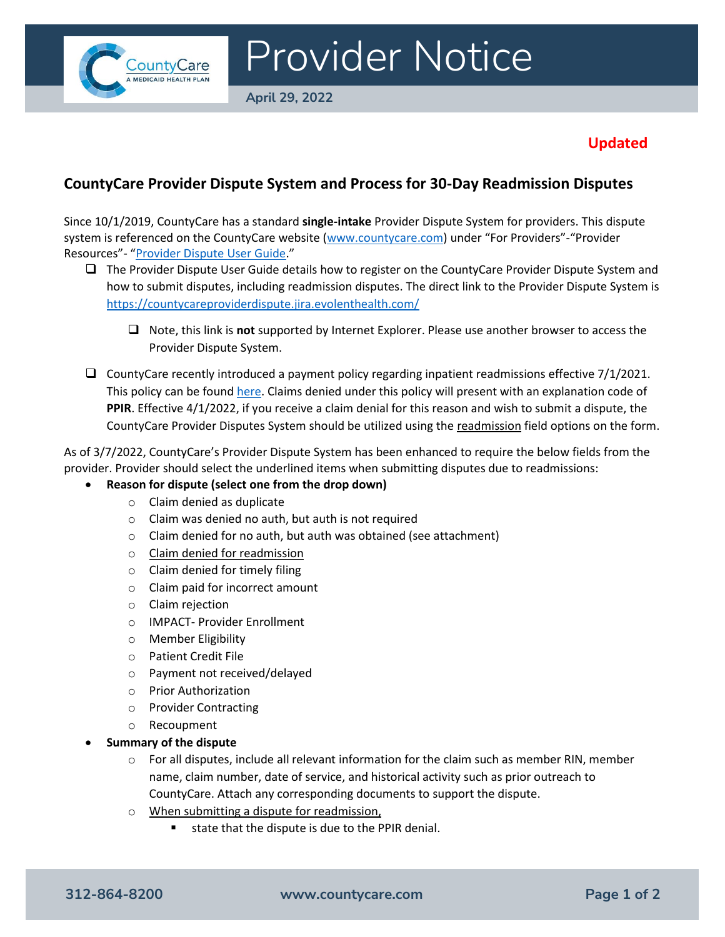

# Provider Notice

**April 29, 2022**

## **Updated**

### **CountyCare Provider Dispute System and Process for 30-Day Readmission Disputes**

Since 10/1/2019, CountyCare has a standard **single-intake** Provider Dispute System for providers. This dispute system is referenced on the CountyCare website [\(www.countycare.com](http://www.countycare.com/)) under "For Providers"-"Provider Resources"- "[Provider Dispute User Guide](https://countycare.com/wp-content/uploads/Provider-Dispute-System-User-Guide_March2022-Revisions.pdf)."

- ❑ The Provider Dispute User Guide details how to register on the CountyCare Provider Dispute System and how to submit disputes, including readmission disputes. The direct link to the Provider Dispute System is <https://countycareproviderdispute.jira.evolenthealth.com/>
	- ❑ Note, this link is **not** supported by Internet Explorer. Please use another browser to access the Provider Dispute System.
- ❑ CountyCare recently introduced a payment policy regarding inpatient readmissions effective 7/1/2021. This policy can be found [here.](https://countycare.com/wp-content/uploads/FIN.004-Readmissions-Policy-7.1.2021.pdf) Claims denied under this policy will present with an explanation code of **PPIR**. Effective 4/1/2022, if you receive a claim denial for this reason and wish to submit a dispute, the CountyCare Provider Disputes System should be utilized using the readmission field options on the form.

As of 3/7/2022, CountyCare's Provider Dispute System has been enhanced to require the below fields from the provider. Provider should select the underlined items when submitting disputes due to readmissions:

#### • **Reason for dispute (select one from the drop down)**

- o Claim denied as duplicate
- o Claim was denied no auth, but auth is not required
- o Claim denied for no auth, but auth was obtained (see attachment)
- o Claim denied for readmission
- $\circ$  Claim denied for timely filing
- o Claim paid for incorrect amount
- o Claim rejection
- o IMPACT- Provider Enrollment
- o Member Eligibility
- o Patient Credit File
- o Payment not received/delayed
- o Prior Authorization
- o Provider Contracting
- o Recoupment
- **Summary of the dispute**
	- $\circ$  For all disputes, include all relevant information for the claim such as member RIN, member name, claim number, date of service, and historical activity such as prior outreach to CountyCare. Attach any corresponding documents to support the dispute.
	- o When submitting a dispute for readmission,
		- state that the dispute is due to the PPIR denial.